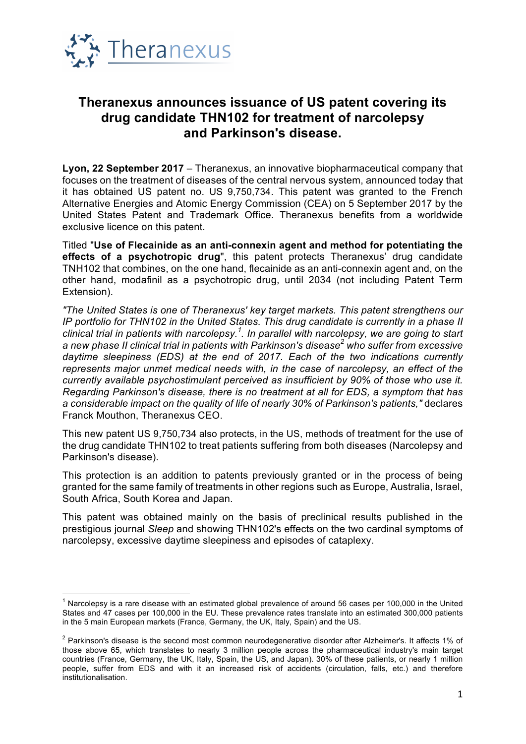

## **Theranexus announces issuance of US patent covering its drug candidate THN102 for treatment of narcolepsy and Parkinson's disease.**

**Lyon, 22 September 2017** – Theranexus, an innovative biopharmaceutical company that focuses on the treatment of diseases of the central nervous system, announced today that it has obtained US patent no. US 9,750,734. This patent was granted to the French Alternative Energies and Atomic Energy Commission (CEA) on 5 September 2017 by the United States Patent and Trademark Office. Theranexus benefits from a worldwide exclusive licence on this patent.

Titled "**Use of Flecainide as an anti-connexin agent and method for potentiating the effects of a psychotropic drug**", this patent protects Theranexus' drug candidate TNH102 that combines, on the one hand, flecainide as an anti-connexin agent and, on the other hand, modafinil as a psychotropic drug, until 2034 (not including Patent Term Extension).

*"The United States is one of Theranexus' key target markets. This patent strengthens our IP portfolio for THN102 in the United States. This drug candidate is currently in a phase II clinical trial in patients with narcolepsy.<sup>1</sup> . In parallel with narcolepsy, we are going to start a new phase II clinical trial in patients with Parkinson's disease<sup>2</sup> who suffer from excessive daytime sleepiness (EDS) at the end of 2017. Each of the two indications currently represents major unmet medical needs with, in the case of narcolepsy, an effect of the currently available psychostimulant perceived as insufficient by 90% of those who use it. Regarding Parkinson's disease, there is no treatment at all for EDS, a symptom that has a considerable impact on the quality of life of nearly 30% of Parkinson's patients,"* declares Franck Mouthon, Theranexus CEO.

This new patent US 9,750,734 also protects, in the US, methods of treatment for the use of the drug candidate THN102 to treat patients suffering from both diseases (Narcolepsy and Parkinson's disease).

This protection is an addition to patents previously granted or in the process of being granted for the same family of treatments in other regions such as Europe, Australia, Israel, South Africa, South Korea and Japan.

This patent was obtained mainly on the basis of preclinical results published in the prestigious journal *Sleep* and showing THN102's effects on the two cardinal symptoms of narcolepsy, excessive daytime sleepiness and episodes of cataplexy.

 $1$  Narcolepsy is a rare disease with an estimated global prevalence of around 56 cases per 100,000 in the United States and 47 cases per 100,000 in the EU. These prevalence rates translate into an estimated 300,000 patients in the 5 main European markets (France, Germany, the UK, Italy, Spain) and the US.

 $2$  Parkinson's disease is the second most common neurodegenerative disorder after Alzheimer's. It affects 1% of those above 65, which translates to nearly 3 million people across the pharmaceutical industry's main target countries (France, Germany, the UK, Italy, Spain, the US, and Japan). 30% of these patients, or nearly 1 million people, suffer from EDS and with it an increased risk of accidents (circulation, falls, etc.) and therefore institutionalisation.